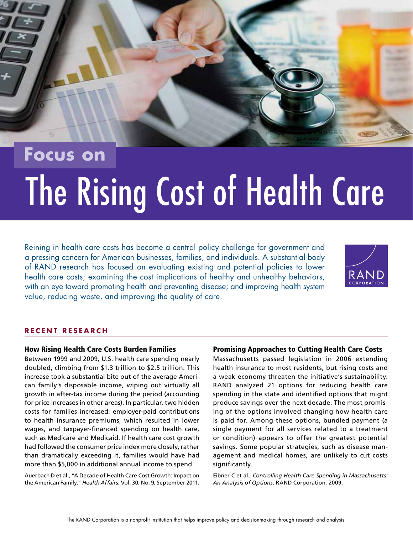

# **Focus on**

# The Rising Cost of Health Care

Reining in health care costs has become a central policy challenge for government and a pressing concern for American businesses, families, and individuals. A substantial body of RAND research has focused on evaluating existing and potential policies to lower health care costs; examining the cost implications of healthy and unhealthy behaviors, with an eye toward promoting health and preventing disease; and improving health system value, reducing waste, and improving the quality of care.



#### **RECENT RESEARCH**

#### [How Rising Health Care Costs Burden Families](http://www.rand.org/pubs/research_briefs/RB9605.html)

Between 1999 and 2009, U.S. health care spending nearly doubled, climbing from \$1.3 trillion to \$2.5 trillion. This increase took a substantial bite out of the average American family's disposable income, wiping out virtually all growth in after-tax income during the period (accounting for price increases in other areas). In particular, two hidden costs for families increased: employer-paid contributions to health insurance premiums, which resulted in lower wages, and taxpayer-financed spending on health care, such as Medicare and Medicaid. If health care cost growth had followed the consumer price index more closely, rather than dramatically exceeding it, families would have had more than \$5,000 in additional annual income to spend.

Auerbach D et al., "A Decade of Health Care Cost Growth: Impact on the American Family," *Health Affairs*, Vol. 30, No. 9, September 2011.

#### [Promising Approaches to Cutting Health Care Costs](http://www.rand.org/pubs/research_briefs/RB9464-1.html)

Massachusetts passed legislation in 2006 extending health insurance to most residents, but rising costs and a weak economy threaten the initiative's sustainability. RAND analyzed 21 options for reducing health care spending in the state and identified options that might produce savings over the next decade. The most promising of the options involved changing how health care is paid for. Among these options, bundled payment (a single payment for all services related to a treatment or condition) appears to offer the greatest potential savings. Some popular strategies, such as disease management and medical homes, are unlikely to cut costs significantly.

Eibner C et al., *Controlling Health Care Spending in Massachusetts: An Analysis of Options*, RAND Corporation, 2009.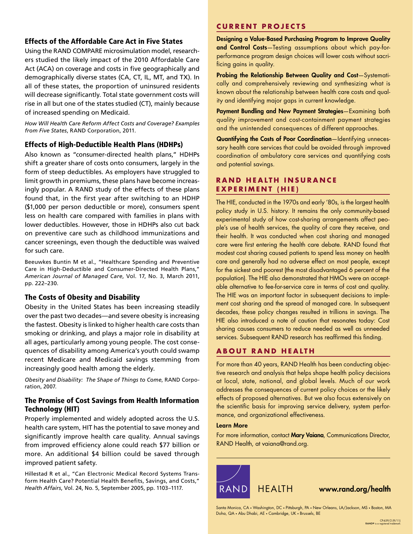#### [Effects of the Affordable Care Act in Five States](http://www.rand.org/pubs/research_briefs/RB9557.html)

Using the RAND COMPARE microsimulation model, researchers studied the likely impact of the 2010 Affordable Care Act (ACA) on coverage and costs in five geographically and demographically diverse states (CA, CT, IL, MT, and TX). In all of these states, the proportion of uninsured residents will decrease significantly. Total state government costs will rise in all but one of the states studied (CT), mainly because of increased spending on Medicaid.

*How Will Health Care Reform Affect Costs and Coverage? Examples from Five States*, RAND Corporation, 2011.

#### [Effects of High-Deductible Health Plans \(HDHPs\)](http://www.rand.org/pubs/research_briefs/RB9588.html)

Also known as "consumer-directed health plans," HDHPs shift a greater share of costs onto consumers, largely in the form of steep deductibles. As employers have struggled to limit growth in premiums, these plans have become increasingly popular. A RAND study of the effects of these plans found that, in the first year after switching to an HDHP (\$1,000 per person deductible or more), consumers spent less on health care compared with families in plans with lower deductibles. However, those in HDHPs also cut back on preventive care such as childhood immunizations and cancer screenings, even though the deductible was waived for such care.

Beeuwkes Buntin M et al., "Healthcare Spending and Preventive Care in High-Deductible and Consumer-Directed Health Plans," *American Journal of Managed Care*, Vol. 17, No. 3, March 2011, pp. 222–230.

#### The Costs of Obesity and Disability

Obesity in the United States has been increasing steadily over the past two decades—and severe obesity is increasing the fastest. Obesity is linked to higher health care costs than smoking or drinking, and plays a major role in disability at all ages, particularly among young people. The cost consequences of disability among America's youth could swamp [recent Medicare and Medicaid savings stemming from](http://www.rand.org/pubs/research_briefs/RB9043-1.html)  increasingly good health among the elderly.

*Obesity and Disability: The Shape of Things to Come*, RAND Corporation, 2007.

#### [The Promise of Cost Savings from Health Information](http://www.rand.org/pubs/research_briefs/RB9136.html)  Technology (HIT)

Properly implemented and widely adopted across the U.S. health care system, HIT has the potential to save money and significantly improve health care quality. Annual savings from improved efficiency alone could reach \$77 billion or more. An additional \$4 billion could be saved through improved patient safety.

Hillestad R et al., "Can Electronic Medical Record Systems Transform Health Care? Potential Health Benefits, Savings, and Costs," *Health Affairs*, Vol. 24, No. 5, September 2005, pp. 1103–1117.

#### **CuRRENT P R ojECTS**

Designing a Value-Based Purchasing Program to Improve Quality and Control Costs-Testing assumptions about which pay-forperformance program design choices will lower costs without sacrificing gains in quality.

Probing the Relationship Between Quality and Cost—Systematically and comprehensively reviewing and synthesizing what is known about the relationship between health care costs and quality and identifying major gaps in current knowledge.

Payment Bundling and New Payment Strategies—Examining both quality improvement and cost-containment payment strategies and the unintended consequences of different approaches.

Quantifying the Costs of Poor Coordination—Identifying unnecessary health care services that could be avoided through improved coordination of ambulatory care services and quantifying costs and potential savings.

#### **RAND HEALTH INSURANCE ExPERI m ENT (HIE)**

The HIE, conducted in the 1970s and early '80s, is the largest health policy study in U.S. history. It remains the only community-based experimental study of how cost-sharing arrangements affect people's use of health services, the quality of care they receive, and their health. It was conducted when cost sharing and managed care were first entering the health care debate. RAND found that modest cost sharing caused patients to spend less money on health care and generally had no adverse effect on most people, except for the sickest and poorest (the most disadvantaged 6 percent of the population). The HIE also demonstrated that HMOs were an acceptable alternative to fee-for-service care in terms of cost and quality. The HIE was an important factor in subsequent decisions to implement cost sharing and the spread of managed care. In subsequent decades, these policy changes resulted in trillions in savings. The HIE also introduced a note of caution that resonates today: Cost sharing causes consumers to reduce needed as well as unneeded services. Subsequent RAND research has reaffirmed this finding.

#### **ABOUT RAND HEALTH**

For more than 40 years, RAND Health has been conducting objective research and analysis that helps shape health policy decisions at local, state, national, and global levels. Much of our work addresses the consequences of current policy choices or the likely effects of proposed alternatives. But we also focus extensively on the scientific basis for improving service delivery, system performance, and organizational effectiveness.

#### Learn More

For more information, contact Mary Vaiana, Communications Director, RAND Health, at [vaiana@rand.org.](mailto:vaiana@rand.org)



Santa Monica, CA • Washington, DC • Pittsburgh, PA • New Orleans, LA/Jackson, MS • Boston, MA Doha, QA • Abu Dhabi, AE • Cambridge, UK • Brussels, BE